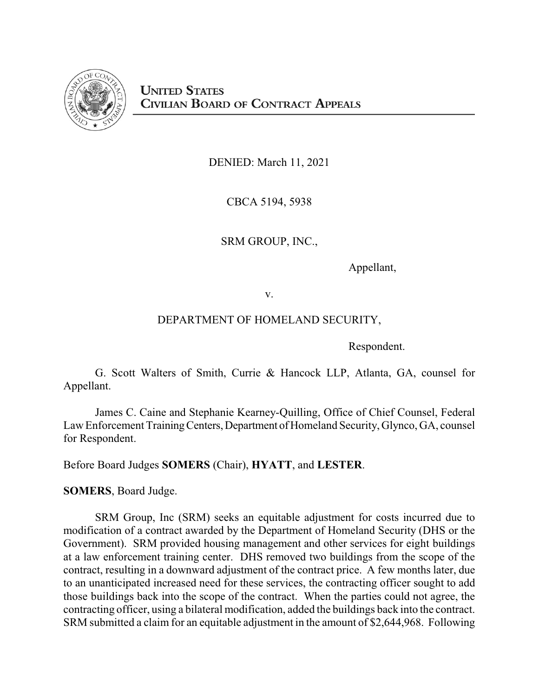

DENIED: March 11, 2021

CBCA 5194, 5938

SRM GROUP, INC.,

Appellant,

v.

# DEPARTMENT OF HOMELAND SECURITY,

Respondent.

G. Scott Walters of Smith, Currie & Hancock LLP, Atlanta, GA, counsel for Appellant.

James C. Caine and Stephanie Kearney-Quilling, Office of Chief Counsel, Federal Law Enforcement Training Centers, Department of Homeland Security, Glynco, GA, counsel for Respondent.

Before Board Judges **SOMERS** (Chair), **HYATT**, and **LESTER**.

**SOMERS**, Board Judge.

SRM Group, Inc (SRM) seeks an equitable adjustment for costs incurred due to modification of a contract awarded by the Department of Homeland Security (DHS or the Government). SRM provided housing management and other services for eight buildings at a law enforcement training center. DHS removed two buildings from the scope of the contract, resulting in a downward adjustment of the contract price. A few months later, due to an unanticipated increased need for these services, the contracting officer sought to add those buildings back into the scope of the contract. When the parties could not agree, the contracting officer, using a bilateral modification, added the buildings back into the contract. SRM submitted a claim for an equitable adjustment in the amount of \$2,644,968. Following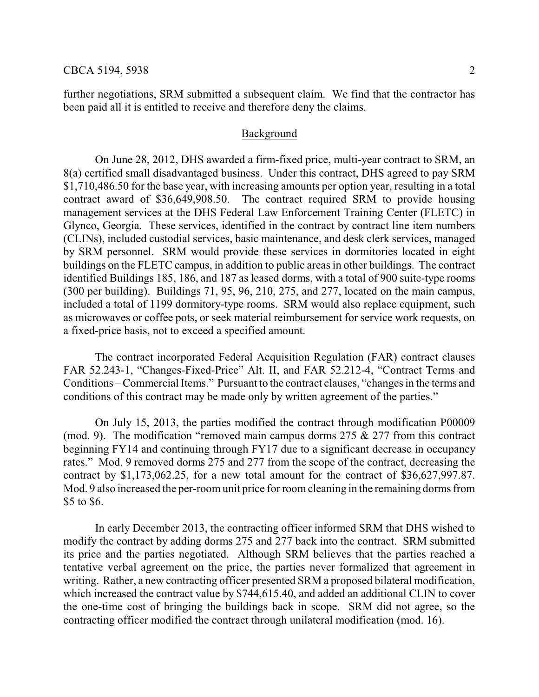further negotiations, SRM submitted a subsequent claim. We find that the contractor has been paid all it is entitled to receive and therefore deny the claims.

#### Background

On June 28, 2012, DHS awarded a firm-fixed price, multi-year contract to SRM, an 8(a) certified small disadvantaged business. Under this contract, DHS agreed to pay SRM \$1,710,486.50 for the base year, with increasing amounts per option year, resulting in a total contract award of \$36,649,908.50. The contract required SRM to provide housing management services at the DHS Federal Law Enforcement Training Center (FLETC) in Glynco, Georgia. These services, identified in the contract by contract line item numbers (CLINs), included custodial services, basic maintenance, and desk clerk services, managed by SRM personnel. SRM would provide these services in dormitories located in eight buildings on the FLETC campus, in addition to public areas in other buildings. The contract identified Buildings 185, 186, and 187 as leased dorms, with a total of 900 suite-type rooms (300 per building). Buildings 71, 95, 96, 210, 275, and 277, located on the main campus, included a total of 1199 dormitory-type rooms. SRM would also replace equipment, such as microwaves or coffee pots, or seek material reimbursement for service work requests, on a fixed-price basis, not to exceed a specified amount.

The contract incorporated Federal Acquisition Regulation (FAR) contract clauses FAR 52.243-1, "Changes-Fixed-Price" Alt. II, and FAR 52.212-4, "Contract Terms and Conditions – Commercial Items." Pursuant to the contract clauses, "changes in the terms and conditions of this contract may be made only by written agreement of the parties."

On July 15, 2013, the parties modified the contract through modification P00009 (mod. 9). The modification "removed main campus dorms  $275 \& 277$  from this contract beginning FY14 and continuing through FY17 due to a significant decrease in occupancy rates." Mod. 9 removed dorms 275 and 277 from the scope of the contract, decreasing the contract by \$1,173,062.25, for a new total amount for the contract of \$36,627,997.87. Mod. 9 also increased the per-room unit price for room cleaning in the remaining dorms from \$5 to \$6.

In early December 2013, the contracting officer informed SRM that DHS wished to modify the contract by adding dorms 275 and 277 back into the contract. SRM submitted its price and the parties negotiated. Although SRM believes that the parties reached a tentative verbal agreement on the price, the parties never formalized that agreement in writing. Rather, a new contracting officer presented SRM a proposed bilateral modification, which increased the contract value by \$744,615.40, and added an additional CLIN to cover the one-time cost of bringing the buildings back in scope. SRM did not agree, so the contracting officer modified the contract through unilateral modification (mod. 16).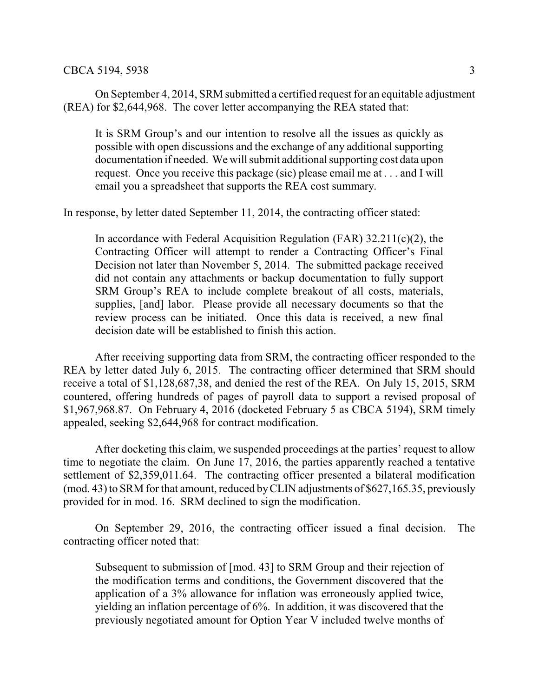On September 4, 2014, SRM submitted a certified request for an equitable adjustment (REA) for \$2,644,968. The cover letter accompanying the REA stated that:

It is SRM Group's and our intention to resolve all the issues as quickly as possible with open discussions and the exchange of any additional supporting documentation if needed. We will submit additional supporting cost data upon request. Once you receive this package (sic) please email me at . . . and I will email you a spreadsheet that supports the REA cost summary.

In response, by letter dated September 11, 2014, the contracting officer stated:

In accordance with Federal Acquisition Regulation (FAR)  $32.211(c)(2)$ , the Contracting Officer will attempt to render a Contracting Officer's Final Decision not later than November 5, 2014. The submitted package received did not contain any attachments or backup documentation to fully support SRM Group's REA to include complete breakout of all costs, materials, supplies, [and] labor. Please provide all necessary documents so that the review process can be initiated. Once this data is received, a new final decision date will be established to finish this action.

After receiving supporting data from SRM, the contracting officer responded to the REA by letter dated July 6, 2015. The contracting officer determined that SRM should receive a total of \$1,128,687,38, and denied the rest of the REA. On July 15, 2015, SRM countered, offering hundreds of pages of payroll data to support a revised proposal of \$1,967,968.87. On February 4, 2016 (docketed February 5 as CBCA 5194), SRM timely appealed, seeking \$2,644,968 for contract modification.

After docketing this claim, we suspended proceedings at the parties' request to allow time to negotiate the claim. On June 17, 2016, the parties apparently reached a tentative settlement of \$2,359,011.64. The contracting officer presented a bilateral modification (mod. 43) to SRM for that amount, reduced byCLIN adjustments of \$627,165.35, previously provided for in mod. 16. SRM declined to sign the modification.

On September 29, 2016, the contracting officer issued a final decision. The contracting officer noted that:

Subsequent to submission of [mod. 43] to SRM Group and their rejection of the modification terms and conditions, the Government discovered that the application of a 3% allowance for inflation was erroneously applied twice, yielding an inflation percentage of 6%. In addition, it was discovered that the previously negotiated amount for Option Year V included twelve months of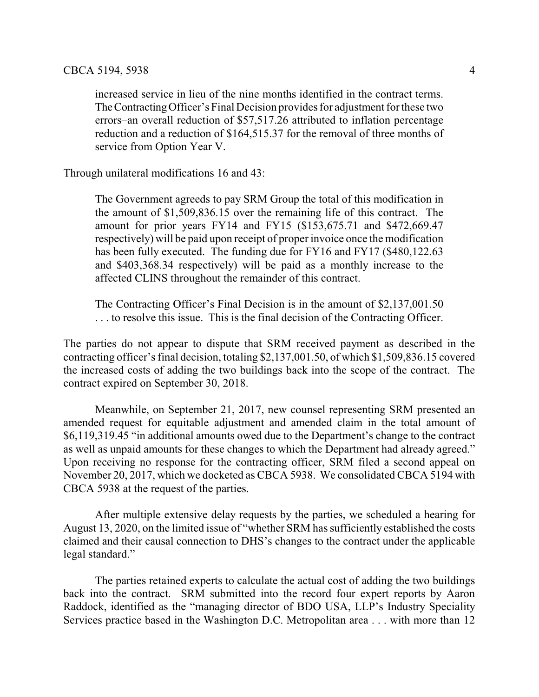increased service in lieu of the nine months identified in the contract terms. TheContractingOfficer's Final Decision provides for adjustment for these two errors–an overall reduction of \$57,517.26 attributed to inflation percentage reduction and a reduction of \$164,515.37 for the removal of three months of service from Option Year V.

Through unilateral modifications 16 and 43:

The Government agreeds to pay SRM Group the total of this modification in the amount of \$1,509,836.15 over the remaining life of this contract. The amount for prior years FY14 and FY15 (\$153,675.71 and \$472,669.47 respectively) will be paid upon receipt of proper invoice once the modification has been fully executed. The funding due for FY16 and FY17 (\$480,122.63) and \$403,368.34 respectively) will be paid as a monthly increase to the affected CLINS throughout the remainder of this contract.

The Contracting Officer's Final Decision is in the amount of \$2,137,001.50 . . . to resolve this issue. This is the final decision of the Contracting Officer.

The parties do not appear to dispute that SRM received payment as described in the contracting officer's final decision, totaling \$2,137,001.50, of which \$1,509,836.15 covered the increased costs of adding the two buildings back into the scope of the contract. The contract expired on September 30, 2018.

Meanwhile, on September 21, 2017, new counsel representing SRM presented an amended request for equitable adjustment and amended claim in the total amount of \$6,119,319.45 "in additional amounts owed due to the Department's change to the contract as well as unpaid amounts for these changes to which the Department had already agreed." Upon receiving no response for the contracting officer, SRM filed a second appeal on November 20, 2017, which we docketed as CBCA 5938. We consolidated CBCA 5194 with CBCA 5938 at the request of the parties.

After multiple extensive delay requests by the parties, we scheduled a hearing for August 13, 2020, on the limited issue of "whether SRM has sufficiently established the costs claimed and their causal connection to DHS's changes to the contract under the applicable legal standard."

The parties retained experts to calculate the actual cost of adding the two buildings back into the contract. SRM submitted into the record four expert reports by Aaron Raddock, identified as the "managing director of BDO USA, LLP's Industry Speciality Services practice based in the Washington D.C. Metropolitan area . . . with more than 12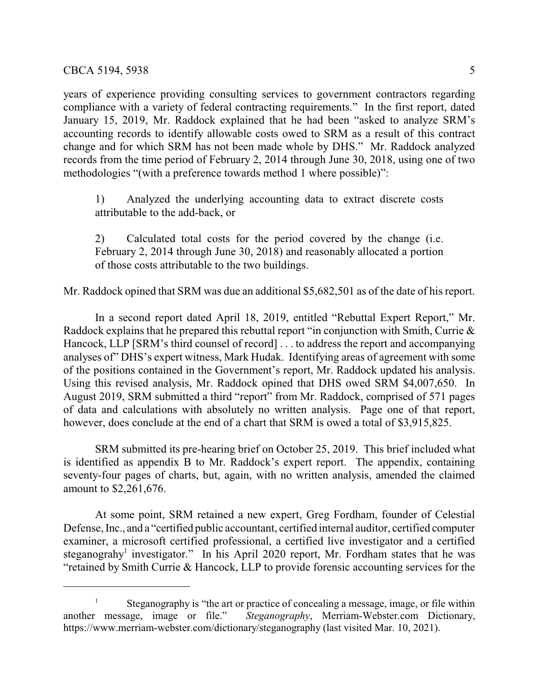years of experience providing consulting services to government contractors regarding compliance with a variety of federal contracting requirements." In the first report, dated January 15, 2019, Mr. Raddock explained that he had been "asked to analyze SRM's accounting records to identify allowable costs owed to SRM as a result of this contract change and for which SRM has not been made whole by DHS." Mr. Raddock analyzed records from the time period of February 2, 2014 through June 30, 2018, using one of two methodologies "(with a preference towards method 1 where possible)":

1) Analyzed the underlying accounting data to extract discrete costs attributable to the add-back, or

2) Calculated total costs for the period covered by the change (i.e. February 2, 2014 through June 30, 2018) and reasonably allocated a portion of those costs attributable to the two buildings.

Mr. Raddock opined that SRM was due an additional \$5,682,501 as of the date of his report.

In a second report dated April 18, 2019, entitled "Rebuttal Expert Report," Mr. Raddock explains that he prepared this rebuttal report "in conjunction with Smith, Currie & Hancock, LLP [SRM's third counsel of record] . . . to address the report and accompanying analyses of" DHS's expert witness, Mark Hudak. Identifying areas of agreement with some of the positions contained in the Government's report, Mr. Raddock updated his analysis. Using this revised analysis, Mr. Raddock opined that DHS owed SRM \$4,007,650. In August 2019, SRM submitted a third "report" from Mr. Raddock, comprised of 571 pages of data and calculations with absolutely no written analysis. Page one of that report, however, does conclude at the end of a chart that SRM is owed a total of \$3,915,825.

SRM submitted its pre-hearing brief on October 25, 2019. This brief included what is identified as appendix B to Mr. Raddock's expert report. The appendix, containing seventy-four pages of charts, but, again, with no written analysis, amended the claimed amount to \$2,261,676.

At some point, SRM retained a new expert, Greg Fordham, founder of Celestial Defense, Inc., and a "certified public accountant, certified internal auditor, certified computer examiner, a microsoft certified professional, a certified live investigator and a certified steganograhy<sup>1</sup> investigator." In his April 2020 report, Mr. Fordham states that he was "retained by Smith Currie & Hancock, LLP to provide forensic accounting services for the

<sup>&</sup>lt;sup>1</sup> Steganography is "the art or practice of concealing a message, image, or file within another message, image or file." *Steganography*, Merriam-Webster.com Dictionary, https://www.merriam-webster.com/dictionary/steganography (last visited Mar. 10, 2021).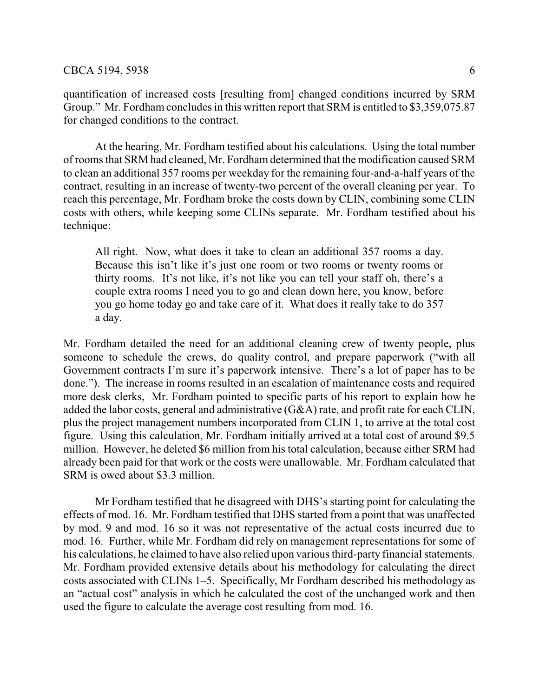quantification of increased costs [resulting from] changed conditions incurred by SRM Group." Mr. Fordham concludes in this written report that SRM is entitled to \$3,359,075.87 for changed conditions to the contract.

At the hearing, Mr. Fordham testified about his calculations. Using the total number of rooms that SRM had cleaned, Mr. Fordham determined that the modification caused SRM to clean an additional 357 rooms per weekday for the remaining four-and-a-half years of the contract, resulting in an increase of twenty-two percent of the overall cleaning per year. To reach this percentage, Mr. Fordham broke the costs down by CLIN, combining some CLIN costs with others, while keeping some CLINs separate. Mr. Fordham testified about his technique:

All right. Now, what does it take to clean an additional 357 rooms a day. Because this isn't like it's just one room or two rooms or twenty rooms or thirty rooms. It's not like, it's not like you can tell your staff oh, there's a couple extra rooms I need you to go and clean down here, you know, before you go home today go and take care of it. What does it really take to do 357 a day.

Mr. Fordham detailed the need for an additional cleaning crew of twenty people, plus someone to schedule the crews, do quality control, and prepare paperwork ("with all Government contracts I'm sure it's paperwork intensive. There's a lot of paper has to be done."). The increase in rooms resulted in an escalation of maintenance costs and required more desk clerks, Mr. Fordham pointed to specific parts of his report to explain how he added the labor costs, general and administrative (G&A) rate, and profit rate for each CLIN, plus the project management numbers incorporated from CLIN 1, to arrive at the total cost figure. Using this calculation, Mr. Fordham initially arrived at a total cost of around \$9.5 million. However, he deleted \$6 million from his total calculation, because either SRM had already been paid for that work or the costs were unallowable. Mr. Fordham calculated that SRM is owed about \$3.3 million.

Mr Fordham testified that he disagreed with DHS's starting point for calculating the effects of mod. 16. Mr. Fordham testified that DHS started from a point that was unaffected by mod. 9 and mod. 16 so it was not representative of the actual costs incurred due to mod. 16. Further, while Mr. Fordham did rely on management representations for some of his calculations, he claimed to have also relied upon various third-party financial statements. Mr. Fordham provided extensive details about his methodology for calculating the direct costs associated with CLINs 1–5. Specifically, Mr Fordham described his methodology as an "actual cost" analysis in which he calculated the cost of the unchanged work and then used the figure to calculate the average cost resulting from mod. 16.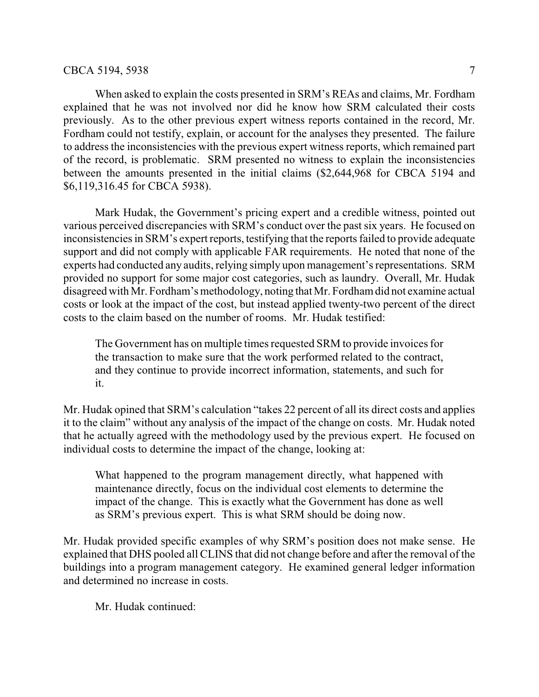### CBCA 5194, 5938 7

When asked to explain the costs presented in SRM's REAs and claims, Mr. Fordham explained that he was not involved nor did he know how SRM calculated their costs previously. As to the other previous expert witness reports contained in the record, Mr. Fordham could not testify, explain, or account for the analyses they presented. The failure to address the inconsistencies with the previous expert witness reports, which remained part of the record, is problematic. SRM presented no witness to explain the inconsistencies between the amounts presented in the initial claims (\$2,644,968 for CBCA 5194 and \$6,119,316.45 for CBCA 5938).

Mark Hudak, the Government's pricing expert and a credible witness, pointed out various perceived discrepancies with SRM's conduct over the past six years. He focused on inconsistencies in SRM's expert reports, testifying that the reports failed to provide adequate support and did not comply with applicable FAR requirements. He noted that none of the experts had conducted any audits, relying simply upon management's representations. SRM provided no support for some major cost categories, such as laundry. Overall, Mr. Hudak disagreed with Mr. Fordham's methodology, noting thatMr. Fordhamdid not examine actual costs or look at the impact of the cost, but instead applied twenty-two percent of the direct costs to the claim based on the number of rooms. Mr. Hudak testified:

The Government has on multiple times requested SRM to provide invoices for the transaction to make sure that the work performed related to the contract, and they continue to provide incorrect information, statements, and such for it.

Mr. Hudak opined that SRM's calculation "takes 22 percent of all its direct costs and applies it to the claim" without any analysis of the impact of the change on costs. Mr. Hudak noted that he actually agreed with the methodology used by the previous expert. He focused on individual costs to determine the impact of the change, looking at:

What happened to the program management directly, what happened with maintenance directly, focus on the individual cost elements to determine the impact of the change. This is exactly what the Government has done as well as SRM's previous expert. This is what SRM should be doing now.

Mr. Hudak provided specific examples of why SRM's position does not make sense. He explained that DHS pooled all CLINS that did not change before and after the removal of the buildings into a program management category. He examined general ledger information and determined no increase in costs.

Mr. Hudak continued: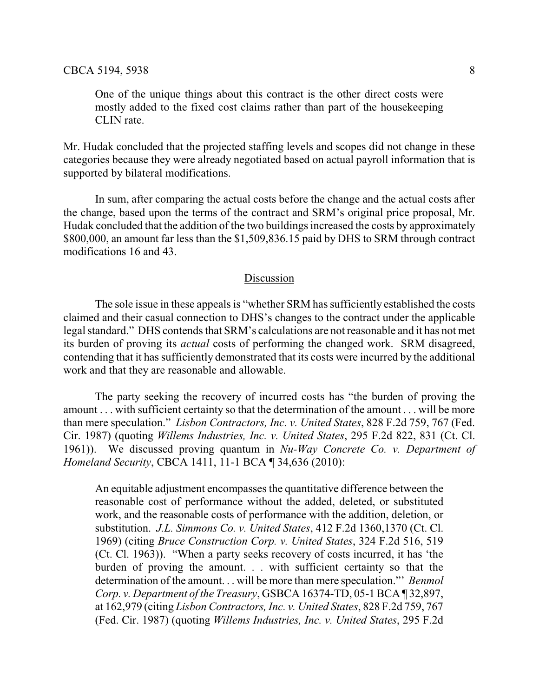One of the unique things about this contract is the other direct costs were mostly added to the fixed cost claims rather than part of the housekeeping CLIN rate.

Mr. Hudak concluded that the projected staffing levels and scopes did not change in these categories because they were already negotiated based on actual payroll information that is supported by bilateral modifications.

In sum, after comparing the actual costs before the change and the actual costs after the change, based upon the terms of the contract and SRM's original price proposal, Mr. Hudak concluded that the addition of the two buildings increased the costs by approximately \$800,000, an amount far less than the \$1,509,836.15 paid by DHS to SRM through contract modifications 16 and 43.

### Discussion

The sole issue in these appeals is "whether SRM has sufficiently established the costs claimed and their casual connection to DHS's changes to the contract under the applicable legal standard." DHS contends that SRM's calculations are not reasonable and it has not met its burden of proving its *actual* costs of performing the changed work. SRM disagreed, contending that it has sufficiently demonstrated that its costs were incurred by the additional work and that they are reasonable and allowable.

The party seeking the recovery of incurred costs has "the burden of proving the amount . . . with sufficient certainty so that the determination of the amount . . . will be more than mere speculation." *Lisbon Contractors, Inc. v. United States*, 828 F.2d 759, 767 (Fed. Cir. 1987) (quoting *Willems Industries, Inc. v. United States*, 295 F.2d 822, 831 (Ct. Cl. 1961)). We discussed proving quantum in *Nu-Way Concrete Co. v. Department of Homeland Security*, CBCA 1411, 11-1 BCA ¶ 34,636 (2010):

An equitable adjustment encompasses the quantitative difference between the reasonable cost of performance without the added, deleted, or substituted work, and the reasonable costs of performance with the addition, deletion, or substitution. *J.L. Simmons Co. v. United States*, 412 F.2d 1360,1370 (Ct. Cl. 1969) (citing *Bruce Construction Corp. v. United States*, 324 F.2d 516, 519 (Ct. Cl. 1963)). "When a party seeks recovery of costs incurred, it has 'the burden of proving the amount. . . with sufficient certainty so that the determination of the amount. . . will be more than mere speculation."' *Benmol Corp. v. Department of the Treasury*, GSBCA 16374-TD, 05-1 BCA ¶ 32,897, at 162,979 (citing *Lisbon Contractors, Inc. v. United States*, 828 F.2d 759, 767 (Fed. Cir. 1987) (quoting *Willems Industries, Inc. v. United States*, 295 F.2d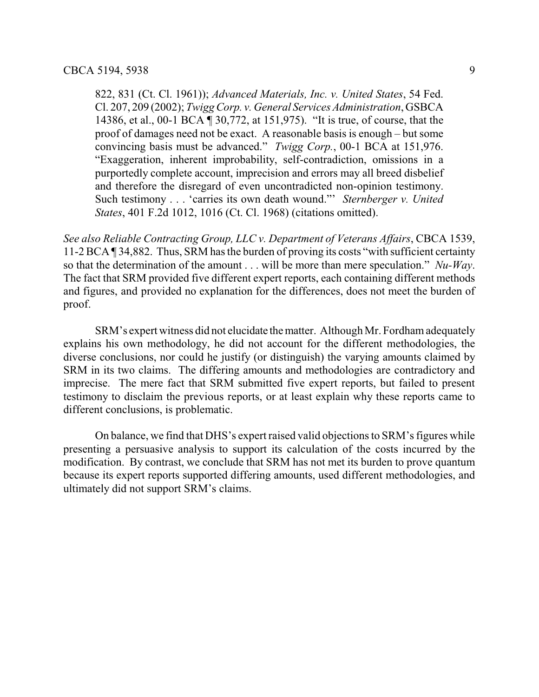822, 831 (Ct. Cl. 1961)); *Advanced Materials, Inc. v. United States*, 54 Fed. Cl. 207, 209 (2002); *Twigg Corp. v. General Services Administration*, GSBCA 14386, et al., 00-1 BCA ¶ 30,772, at 151,975). "It is true, of course, that the proof of damages need not be exact. A reasonable basis is enough – but some convincing basis must be advanced." *Twigg Corp.*, 00-1 BCA at 151,976. "Exaggeration, inherent improbability, self-contradiction, omissions in a purportedly complete account, imprecision and errors may all breed disbelief and therefore the disregard of even uncontradicted non-opinion testimony. Such testimony . . . 'carries its own death wound."' *Sternberger v. United States*, 401 F.2d 1012, 1016 (Ct. Cl. 1968) (citations omitted).

*See also Reliable Contracting Group, LLC v. Department of Veterans Affairs*, CBCA 1539, 11-2 BCA ¶ 34,882. Thus, SRM has the burden of proving its costs "with sufficient certainty so that the determination of the amount . . . will be more than mere speculation." *Nu-Way*. The fact that SRM provided five different expert reports, each containing different methods and figures, and provided no explanation for the differences, does not meet the burden of proof.

SRM's expert witness did not elucidate thematter. Although Mr. Fordhamadequately explains his own methodology, he did not account for the different methodologies, the diverse conclusions, nor could he justify (or distinguish) the varying amounts claimed by SRM in its two claims. The differing amounts and methodologies are contradictory and imprecise. The mere fact that SRM submitted five expert reports, but failed to present testimony to disclaim the previous reports, or at least explain why these reports came to different conclusions, is problematic.

On balance, we find that DHS's expert raised valid objections to SRM's figures while presenting a persuasive analysis to support its calculation of the costs incurred by the modification. By contrast, we conclude that SRM has not met its burden to prove quantum because its expert reports supported differing amounts, used different methodologies, and ultimately did not support SRM's claims.